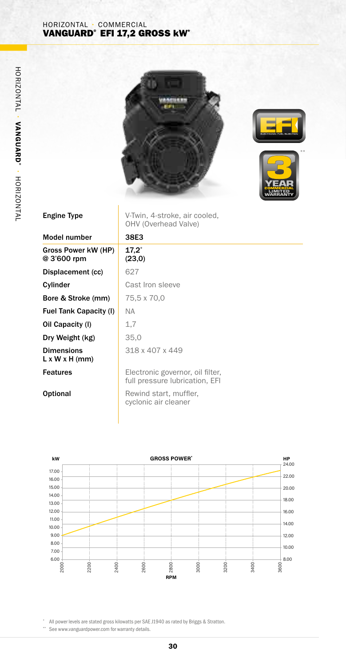### HORIZONTAL • COMMERCIAL VANGUARD® EFI 17,2 GROSS kW\*







#### Engine Type

V-Twin, 4-stroke, air cooled, OHV (Overhead Valve)

| Model number                              | 38E3                                                               |
|-------------------------------------------|--------------------------------------------------------------------|
| <b>Gross Power kW (HP)</b><br>@ 3'600 rpm | $17.2^*$<br>(23,0)                                                 |
| Displacement (cc)                         | 627                                                                |
| Cylinder                                  | Cast Iron sleeve                                                   |
| Bore & Stroke (mm)                        | 75.5 x 70.0                                                        |
| Fuel Tank Capacity (I)                    | <b>NA</b>                                                          |
| Oil Capacity (I)                          | 1.7                                                                |
| Dry Weight (kg)                           | 35.0                                                               |
| Dimensions<br>L x W x H (mm)              | 318 x 407 x 449                                                    |
| Features                                  | Electronic governor, oil filter,<br>full pressure lubrication, EFI |
| Optional                                  | Rewind start, muffler,<br>cyclonic air cleaner                     |



\* All power levels are stated gross kilowatts per SAE J1940 as rated by Briggs & Stratton.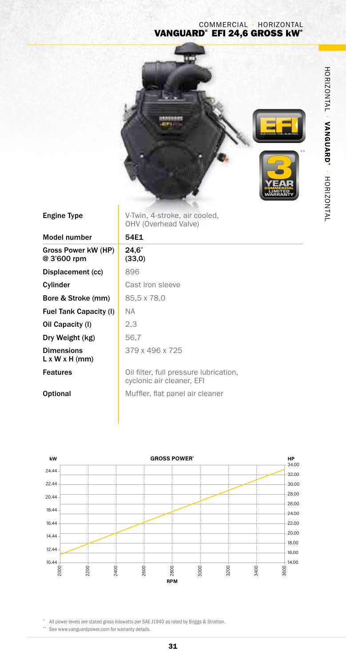HORIZONTAL •

 VANGUARD HORIZONTAL · HORIZONTAL

• HORIZONTAL



#### V-Twin, 4-stroke, air cooled, OHV (Overhead Valve) 54E1 24,6\* (33,0) 896 Cast Iron sleeve 85,5 x 78,0 NA 2,3 56,7 379 x 496 x 725 Oil filter, full pressure lubrication, cyclonic air cleaner, EFI Muffler, flat panel air cleaner Engine Type Model number Gross Power kW (HP) @ 3'600 rpm Displacement (cc) Cylinder Bore & Stroke (mm) Fuel Tank Capacity (l) Oil Capacity (l) Dry Weight (kg) Dimensions  $L \times W \times H$  (mm) Features **Optional**



\* All power levels are stated gross kilowatts per SAE J1940 as rated by Briggs & Stratton.

\*\* See www.vanguardpower.com for warranty details.

31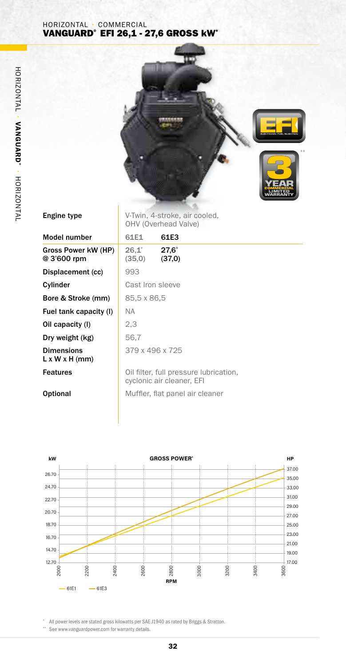### HORIZONTAL • COMMERCIAL VANGUARD® EFI 26,1 - 27,6 GROSS kW\*



#### Engine type

V-Twin, 4-stroke, air cooled, OHV (Overhead Valve)

| Model number                                    | 61E1                     | 61E3                                                                |  |
|-------------------------------------------------|--------------------------|---------------------------------------------------------------------|--|
| Gross Power kW (HP)<br>@ 3'600 rpm              | $26.1^{\circ}$<br>(35,0) | $27,6^*$<br>(37,0)                                                  |  |
| Displacement (cc)                               | 993                      |                                                                     |  |
| Cylinder                                        | Cast Iron sleeve         |                                                                     |  |
| Bore & Stroke (mm)                              | 85.5 x 86.5              |                                                                     |  |
| Fuel tank capacity (I)                          | <b>NA</b>                |                                                                     |  |
| Oil capacity (I)                                | 2.3                      |                                                                     |  |
| Dry weight (kg)                                 | 56.7                     |                                                                     |  |
| <b>Dimensions</b><br>$L \times W \times H$ (mm) | 379 x 496 x 725          |                                                                     |  |
| <b>Features</b>                                 |                          | Oil filter, full pressure lubrication,<br>cyclonic air cleaner, EFI |  |
| Optional                                        |                          | Muffler, flat panel air cleaner                                     |  |



\* All power levels are stated gross kilowatts per SAE J1940 as rated by Briggs & Stratton.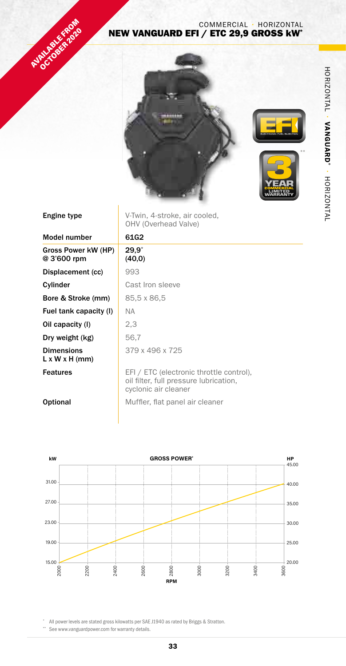#### COMMERCIAL • HORIZONTAL NEW VANGUARD EFI / ETC 29,9 GROSS kW\*







# Engine type

**AVAILABLE FROM** 

V-Twin, 4-stroke, air cooled, OHV (Overhead Valve)

| Model number                                    | 61G2                                                                                                       |  |
|-------------------------------------------------|------------------------------------------------------------------------------------------------------------|--|
| Gross Power kW (HP)<br>@ 3'600 rpm              | $29.9*$<br>(40,0)                                                                                          |  |
| Displacement (cc)                               | 993                                                                                                        |  |
| Cylinder                                        | Cast Iron sleeve                                                                                           |  |
| Bore & Stroke (mm)                              | 85.5 x 86.5                                                                                                |  |
| Fuel tank capacity (I)                          | <b>NA</b>                                                                                                  |  |
| Oil capacity (I)                                | 2,3                                                                                                        |  |
| Dry weight (kg)                                 | 56.7                                                                                                       |  |
| <b>Dimensions</b><br>$L \times W \times H$ (mm) | 379 x 496 x 725                                                                                            |  |
| <b>Features</b>                                 | EFI / ETC (electronic throttle control),<br>oil filter, full pressure lubrication,<br>cyclonic air cleaner |  |
| Optional                                        | Muffler, flat panel air cleaner                                                                            |  |



\* All power levels are stated gross kilowatts per SAE J1940 as rated by Briggs & Stratton.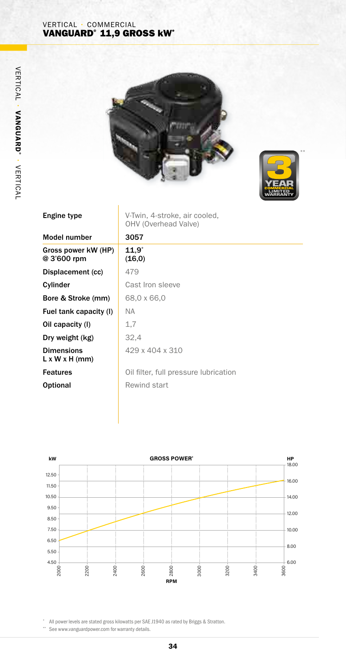# VERTICAL • COMMERCIAL VANGUARD® 11,9 GROSS kW\*

Ï





| Engine type                                     | V-Twin, 4-stroke, air cooled,<br><b>OHV (Overhead Valve)</b> |  |
|-------------------------------------------------|--------------------------------------------------------------|--|
| Model number                                    | 3057                                                         |  |
| Gross power kW (HP)<br>@ 3'600 rpm              | $11.9*$<br>(16,0)                                            |  |
| Displacement (cc)                               | 479                                                          |  |
| Cylinder                                        | Cast Iron sleeve                                             |  |
| Bore & Stroke (mm)                              | 68,0 x 66,0                                                  |  |
| Fuel tank capacity (I)                          | <b>NA</b>                                                    |  |
| Oil capacity (I)                                | 1,7                                                          |  |
| Dry weight (kg)                                 | 32,4                                                         |  |
| <b>Dimensions</b><br>$L \times W \times H$ (mm) | 429 x 404 x 310                                              |  |
| <b>Features</b>                                 | Oil filter, full pressure lubrication                        |  |
| Optional                                        | Rewind start                                                 |  |



\* All power levels are stated gross kilowatts per SAE J1940 as rated by Briggs & Stratton.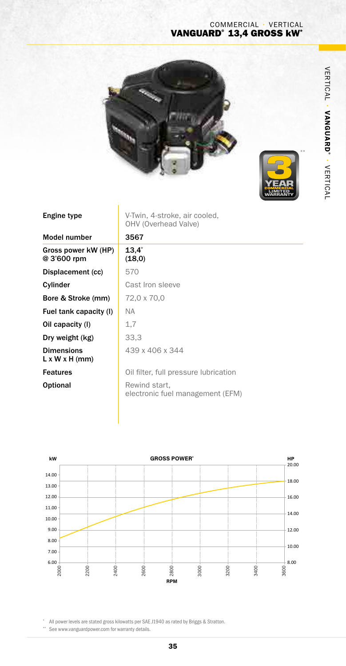



| Engine type                                     | V-Twin, 4-stroke, air cooled,<br><b>OHV</b> (Overhead Valve) |
|-------------------------------------------------|--------------------------------------------------------------|
| Model number                                    | 3567                                                         |
| Gross power kW (HP)<br>@ 3'600 rpm              | $13,4^*$<br>(18,0)                                           |
| Displacement (cc)                               | 570                                                          |
| Cylinder                                        | Cast Iron sleeve                                             |
| Bore & Stroke (mm)                              | 72.0 x 70.0                                                  |
| Fuel tank capacity (I)                          | <b>NA</b>                                                    |
| Oil capacity (I)                                | 1.7                                                          |
| Dry weight (kg)                                 | 33,3                                                         |
| <b>Dimensions</b><br>$L \times W \times H$ (mm) | 439 x 406 x 344                                              |
| <b>Features</b>                                 | Oil filter, full pressure lubrication                        |
| Optional                                        | Rewind start.<br>electronic fuel management (EFM)            |



\* All power levels are stated gross kilowatts per SAE J1940 as rated by Briggs & Stratton.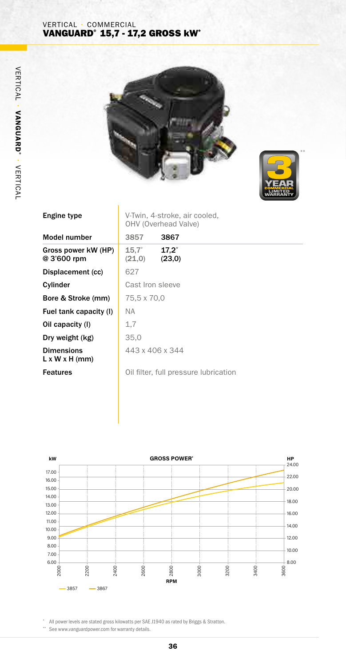### VERTICAL • COMMERCIAL VANGUARD® 15,7 - 17,2 GROSS kW\*





| <b>Engine type</b>                              |                          | V-Twin, 4-stroke, air cooled.<br><b>OHV (Overhead Valve)</b> |  |
|-------------------------------------------------|--------------------------|--------------------------------------------------------------|--|
| Model number                                    | 3857                     | 3867                                                         |  |
| Gross power kW (HP)<br>@ 3'600 rpm              | $15.7^{\circ}$<br>(21,0) | $17,2^{*}$<br>(23,0)                                         |  |
| Displacement (cc)                               | 627                      |                                                              |  |
| Cylinder                                        | Cast Iron sleeve         |                                                              |  |
| Bore & Stroke (mm)                              | 75.5 x 70.0              |                                                              |  |
| Fuel tank capacity (I)                          | <b>NA</b>                |                                                              |  |
| Oil capacity (I)                                | 1.7                      |                                                              |  |
| Dry weight (kg)                                 | 35,0                     |                                                              |  |
| <b>Dimensions</b><br>$L \times W \times H$ (mm) | 443 x 406 x 344          |                                                              |  |
| <b>Features</b>                                 |                          | Oil filter, full pressure lubrication                        |  |



\* All power levels are stated gross kilowatts per SAE J1940 as rated by Briggs & Stratton.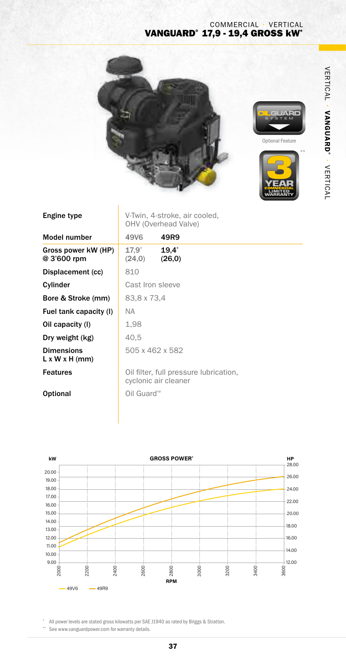







| <b>Engine type</b>                              | V-Twin, 4-stroke, air cooled,<br><b>OHV</b> (Overhead Valve) |                                                                |  |
|-------------------------------------------------|--------------------------------------------------------------|----------------------------------------------------------------|--|
| Model number                                    | 49V6                                                         | 49R9                                                           |  |
| Gross power kW (HP)<br>@ 3'600 rpm              | $17.9^\circ$<br>(24,0)                                       | $19.4^*$<br>(26, 0)                                            |  |
| Displacement (cc)                               | 810                                                          |                                                                |  |
| Cylinder                                        | Cast Iron sleeve                                             |                                                                |  |
| Bore & Stroke (mm)                              | 83.8 x 73.4                                                  |                                                                |  |
| Fuel tank capacity (I)                          | <b>NA</b>                                                    |                                                                |  |
| Oil capacity (I)                                | 1.98                                                         |                                                                |  |
| Dry weight (kg)                                 | 40.5                                                         |                                                                |  |
| <b>Dimensions</b><br>$L \times W \times H$ (mm) | 505 x 462 x 582                                              |                                                                |  |
| <b>Features</b>                                 |                                                              | Oil filter, full pressure lubrication,<br>cyclonic air cleaner |  |
| Optional                                        | Oil Guard™                                                   |                                                                |  |



\* All power levels are stated gross kilowatts per SAE J1940 as rated by Briggs & Stratton.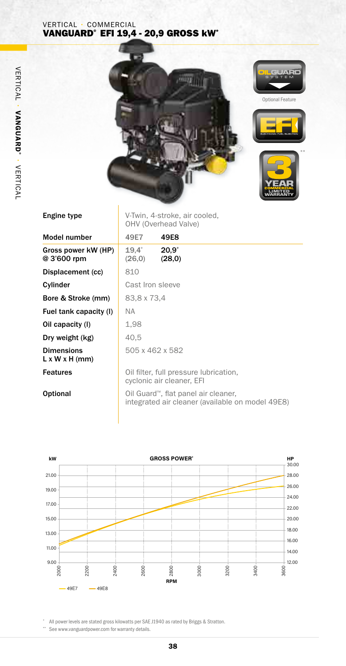### VERTICAL • COMMERCIAL VANGUARD® EFI 19,4 - 20,9 GROSS kW\*



|  |   | E M |  |
|--|---|-----|--|
|  | ٠ | ī   |  |
|  |   |     |  |
|  |   |     |  |





| Engine type                                     | V-Twin, 4-stroke, air cooled.<br><b>OHV (Overhead Valve)</b> |                                                                                         |
|-------------------------------------------------|--------------------------------------------------------------|-----------------------------------------------------------------------------------------|
| Model number                                    | 49E7                                                         | 49E8                                                                                    |
| Gross power kW (HP)<br>@ 3'600 rpm              | $19.4^\circ$<br>(26, 0)                                      | $20.9^{*}$<br>(28,0)                                                                    |
| Displacement (cc)                               | 810                                                          |                                                                                         |
| Cylinder                                        | Cast Iron sleeve                                             |                                                                                         |
| Bore & Stroke (mm)                              | 83,8 x 73,4                                                  |                                                                                         |
| Fuel tank capacity (I)                          | <b>NA</b>                                                    |                                                                                         |
| Oil capacity (I)                                | 1,98                                                         |                                                                                         |
| Dry weight (kg)                                 | 40,5                                                         |                                                                                         |
| <b>Dimensions</b><br>$L \times W \times H$ (mm) | 505 x 462 x 582                                              |                                                                                         |
| <b>Features</b>                                 |                                                              | Oil filter, full pressure lubrication,<br>cyclonic air cleaner, EFI                     |
| Optional                                        |                                                              | Oil Guard™, flat panel air cleaner,<br>integrated air cleaner (available on model 49E8) |



\* All power levels are stated gross kilowatts per SAE J1940 as rated by Briggs & Stratton.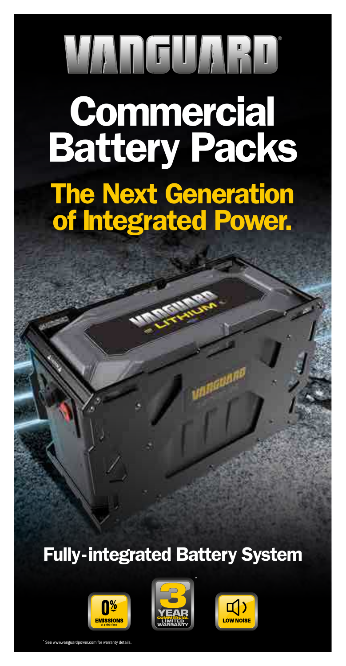# VANGUARD **Commercial** Battery Packs The Next Generation of Integrated Power.

Fully-integrated Battery System

\*

**UDINGUARD** 





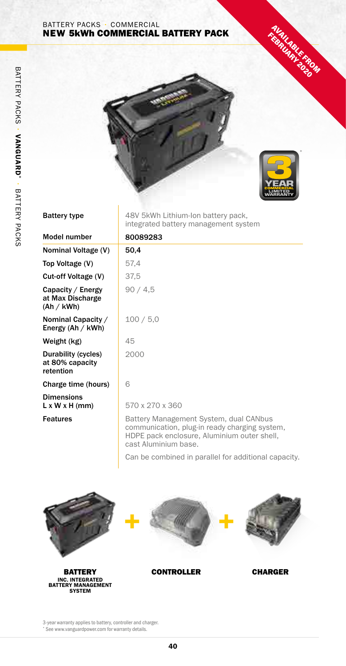### BATTERY PACKS • COMMERCIAL NEW 5kWh COMMERCIAL BATTERY PACK





Avaluance FROM

#### Battery type

48V 5kWh Lithium-Ion battery pack, integrated battery management system

| Model number                                        | 80089283                                                                                                                                                       |
|-----------------------------------------------------|----------------------------------------------------------------------------------------------------------------------------------------------------------------|
| Nominal Voltage (V)                                 | 50,4                                                                                                                                                           |
| Top Voltage (V)                                     | 57,4                                                                                                                                                           |
| Cut-off Voltage (V)                                 | 37,5                                                                                                                                                           |
| Capacity / Energy<br>at Max Discharge<br>(Ah / kWh) | 90/4.5                                                                                                                                                         |
| Nominal Capacity /<br>Energy (Ah / $kWh$ )          | 100/5.0                                                                                                                                                        |
| Weight (kg)                                         | 45                                                                                                                                                             |
| Durability (cycles)<br>at 80% capacity<br>retention | 2000                                                                                                                                                           |
| Charge time (hours)                                 | 6                                                                                                                                                              |
| <b>Dimensions</b><br>$L \times W \times H$ (mm)     | 570 x 270 x 360                                                                                                                                                |
| <b>Features</b>                                     | Battery Management System, dual CANbus<br>communication, plug-in ready charging system,<br>HDPE pack enclosure, Aluminium outer shell,<br>cast Aluminium base. |

Can be combined in parallel for additional capacity.



3-year warranty applies to battery, controller and charger. \* See www.vanguardpower.com for warranty details.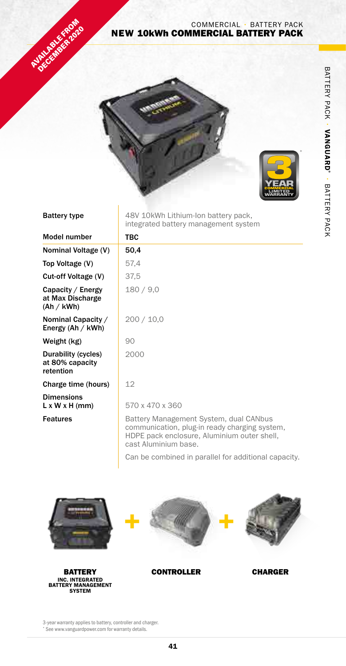### COMMERCIAL • BATTERY PACK NEW 10kWh COMMERCIAL BATTERY PACK





| <b>Battery type</b>                                 | 48V 10kWh Lithium-Ion battery pack,<br>integrated battery management system                                                                                    |  |
|-----------------------------------------------------|----------------------------------------------------------------------------------------------------------------------------------------------------------------|--|
| Model number                                        | <b>TBC</b>                                                                                                                                                     |  |
| Nominal Voltage (V)                                 | 50,4                                                                                                                                                           |  |
| Top Voltage (V)                                     | 57,4                                                                                                                                                           |  |
| Cut-off Voltage (V)                                 | 37,5                                                                                                                                                           |  |
| Capacity / Energy<br>at Max Discharge<br>(Ah / kWh) | 180/9,0                                                                                                                                                        |  |
| Nominal Capacity /<br>Energy (Ah / $kWh$ )          | 200 / 10,0                                                                                                                                                     |  |
| Weight (kg)                                         | 90                                                                                                                                                             |  |
| Durability (cycles)<br>at 80% capacity<br>retention | 2000                                                                                                                                                           |  |
| Charge time (hours)                                 | 12                                                                                                                                                             |  |
| <b>Dimensions</b><br>$L \times W \times H$ (mm)     | 570 x 470 x 360                                                                                                                                                |  |
| <b>Features</b>                                     | Battery Management System, dual CANbus<br>communication, plug-in ready charging system,<br>HDPE pack enclosure, Aluminium outer shell,<br>cast Aluminium base. |  |

Can be combined in parallel for additional capacity.



AVAILABLE FROM







CONTROLLER CHARGER

3-year warranty applies to battery, controller and charger. \* See www.vanguardpower.com for warranty details.